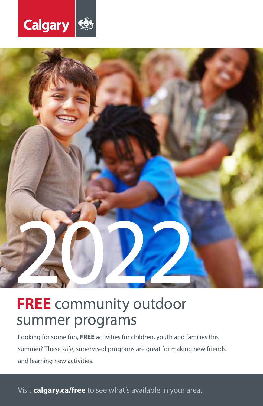



# **FREE** community outdoor summer programs

Looking for some fun, **FREE** activities for children, youth and families this summer? These safe, supervised programs are great for making new friends and learning new activities.

Visit **calgary.ca/free** to see what's available in your area.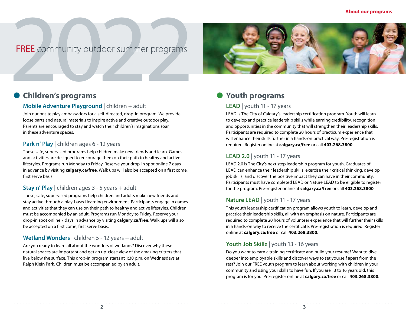# FREE community outdoor summer programs **FREE** community outdoor summer programs



### **Children's programs**

#### **Mobile Adventure Playground** | children + adult

Join our onsite play ambassadors for a self-directed, drop-in program. We provide loose parts and natural materials to inspire active and creative outdoor play. Parents are encouraged to stay and watch their children's imaginations soar in these adventure spaces.

#### Park n' Play | children ages 6 - 12 years

These safe, supervised programs help children make new friends and learn. Games and activities are designed to encourage them on their path to healthy and active lifestyles. Programs run Monday to Friday. Reserve your drop-in spot online 7 days in advance by visiting **calgary.ca/free**. Walk ups will also be accepted on a first come, first serve basis.

#### **Stay n' Play** | children ages 3 - 5 years + adult

These, safe, supervised programs help children and adults make new friends and stay active through a play-based learning environment. Participants engage in games and activities that they can use on their path to healthy and active lifestyles. Children must be accompanied by an adult. Programs run Monday to Friday. Reserve your drop-in spot online 7 days in advance by visiting **calgary.ca/free**. Walk ups will also be accepted on a first come, first serve basis.

#### **Wetland Wonders** | children 5 - 12 years + adult

Are you ready to learn all about the wonders of wetlands? Discover why these natural spaces are important and get an up-close view of the amazing critters that live below the surface. This drop-in program starts at 1:30 p.m. on Wednesdays at Ralph Klein Park. Children must be accompanied by an adult.

# **Youth programs**

#### **LEAD** | youth 11 - 17 years

LEAD is The City of Calgary's leadership certification program. Youth will learn to develop and practice leadership skills while earning credibility, recognition and opportunities in the community that will strengthen their leadership skills. Participants are required to complete 20 hours of practicum experience that will enhance their skills further in a hands-on practical way. Pre-registration is required. Register online at **calgary.ca/free** or call **403.268.3800**.

#### **LEAD 2.0** | youth 11 - 17 years

LEAD 2.0 is The City's next step leadership program for youth. Graduates of LEAD can enhance their leadership skills, exercise their critical thinking, develop job skills, and discover the positive impact they can have in their community. Participants must have completed LEAD or Nature LEAD to be eligible to register for the program. Pre-register online at **calgary.ca/free** or call **403.268.3800**.

#### **Nature LEAD** | youth 11 - 17 years

This youth leadership certification program allows youth to learn, develop and practice their leadership skills, all with an emphasis on nature. Participants are required to complete 20 hours of volunteer experience that will further their skills in a hands-on way to receive the certificate. Pre-registration is required. Register online at **calgary.ca/free** or call **403.268.3800**.

#### **Youth Job Skillz** | youth 13 - 16 years

Do you want to earn a training certificate and build your resume? Want to dive deeper into employable skills and discover ways to set yourself apart from the rest? Join our FREE youth program to learn about working with children in your community and using your skills to have fun. If you are 13 to 16 years old, this program is for you. Pre-register online at **calgary.ca/free** or call **403.268.3800**.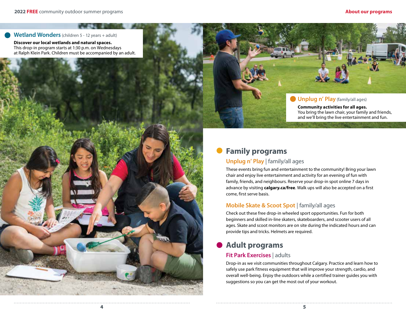#### **Wetland Wonders** (children 5 - 12 years + adult)

**Discover our local wetlands and natural spaces.** This drop-in program starts at 1:30 p.m. on Wednesdays at Ralph Klein Park. Children must be accompanied by an adult.



**Community activities for all ages.** You bring the lawn chair, your family and friends, and we'll bring the live entertainment and fun.

# **Family programs**

#### **Unplug n' Play** | family/all ages

These events bring fun and entertainment to the community! Bring your lawn chair and enjoy live entertainment and activity for an evening of fun with family, friends, and neighbours. Reserve your drop-in spot online 7 days in advance by visiting **calgary.ca/free**. Walk ups will also be accepted on a first come, first serve basis.

#### **Mobile Skate & Scoot Spot** | family/all ages

Check out these free drop-in wheeled sport opportunities. Fun for both beginners and skilled in-line skaters, skateboarders, and scooter users of all ages. Skate and scoot monitors are on site during the indicated hours and can provide tips and tricks. Helmets are required.

## **Adult programs**

#### **Fit Park Exercises** | adults

Drop-in as we visit communities throughout Calgary. Practice and learn how to safely use park fitness equipment that will improve your strength, cardio, and overall well-being. Enjoy the outdoors while a certified trainer guides you with suggestions so you can get the most out of your workout.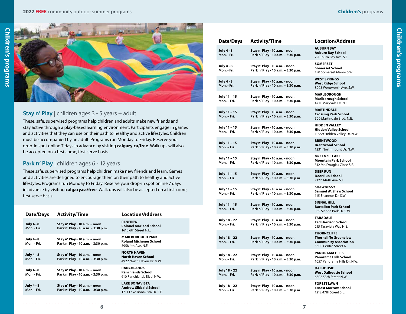#### **2022 FREE** community outdoor summer programs **Children's** programs



#### **Stay n' Play** | children ages 3 - 5 years + adult

These, safe, supervised programs help children and adults make new friends and stay active through a play-based learning environment. Participants engage in games and activities that they can use on their path to healthy and active lifestyles. Children must be accompanied by an adult. Programs run Monday to Friday. Reserve your drop-in spot online 7 days in advance by visiting **calgary.ca/free**. Walk ups will also be accepted on a first come, first serve basis.

#### Park n' Play | children ages 6 - 12 years

These safe, supervised programs help children make new friends and learn. Games and activities are designed to encourage them on their path to healthy and active lifestyles. Programs run Monday to Friday. Reserve your drop-in spot online 7 days in advance by visiting **calgary.ca/free**. Walk ups will also be accepted on a first come, first serve basis.

| Date/Days                        | <b>Activity/Time</b>                                                | <b>Location/Address</b>                                                               |
|----------------------------------|---------------------------------------------------------------------|---------------------------------------------------------------------------------------|
| <b>July 4 - 8</b><br>Mon. - Fri. | Stay n' Play - 10 a.m. - noon<br>Park n' Play - 10 a.m. - 3:30 p.m. | <b>RENFREW</b><br><b>Colonel Macleod School</b><br>1610 6th Street N.E.               |
| July 4 - 8<br>Mon. - Fri.        | Stay n' Play - 10 a.m. - noon<br>Park n' Play - 10 a.m. - 3:30 p.m. | <b>MARLBOROUGH PARK</b><br><b>Roland Michener School</b><br>5958 4th Ave N.F.         |
| <b>July 4 - 8</b><br>Mon. - Fri. | Stay n' Play - 10 a.m. - noon<br>Park n' Play - 10 a.m. - 3:30 p.m. | <b>NORTH HAVEN</b><br><b>North Haven School</b><br>4922 North Haven Dr. N.W.          |
| July 4 - 8<br>Mon. - Fri.        | Stay n' Play - 10 a.m. - noon<br>Park n' Play - 10 a.m. - 3:30 p.m. | <b>RANCHLANDS</b><br><b>Ranchlands School</b><br>610 Ranchlands Blvd, N.W.            |
| <b>July 4 - 8</b><br>Mon. - Fri. | Stay n' Play - 10 a.m. - noon<br>Park n' Play - 10 a.m. - 3:30 p.m. | <b>LAKE BONAVISTA</b><br><b>Andrew Sibbald School</b><br>1711 Lake Bonavista Dr. S.E. |

| Date/Days                        | <b>Activity/Time</b>                                                | <b>Location/Address</b>                                                                                     |
|----------------------------------|---------------------------------------------------------------------|-------------------------------------------------------------------------------------------------------------|
| <b>July 4 - 8</b><br>Mon. - Fri. | Stay n' Play - 10 a.m. - noon<br>Park n' Play - 10 a.m. - 3:30 p.m. | <b>AUBURN BAY</b><br><b>Auburn Bay School</b><br>7 Auburn Bay Ave. S.E.                                     |
| July 4 - 8<br>Mon. - Fri.        | Stay n' Play - 10 a.m. - noon<br>Park n' Play - 10 a.m. - 3:30 p.m. | <b>SOMERSET</b><br><b>Somerset School</b><br>150 Somerset Manor S.W.                                        |
| July 4 - 8<br>Mon. - Fri.        | Stay n' Play - 10 a.m. - noon<br>Park n' Play - 10 a.m. - 3:30 p.m. | <b>WEST SPRINGS</b><br><b>West Ridge School</b><br>8903 Wentworth Ave. S.W.                                 |
| July 11 - 15<br>Mon. - Fri.      | Stay n' Play - 10 a.m. - noon<br>Park n' Play - 10 a.m. - 3:30 p.m. | <b>MARLBOROUGH</b><br><b>Marlborough School</b><br>4711 Maryvale Dr. N.E.                                   |
| July 11 - 15<br>Mon. - Fri.      | Stay n' Play - 10 a.m. - noon<br>Park n' Play - 10 a.m. - 3:30 p.m. | <b>MARTINDALE</b><br><b>Crossing Park School</b><br>500 Martindale Blvd. N.E.                               |
| July 11 - 15<br>Mon. - Fri.      | Stay n' Play - 10 a.m. - noon<br>Park n' Play - 10 a.m. - 3:30 p.m. | <b>HIDDEN VALLEY</b><br><b>Hidden Valley School</b><br>10959 Hidden Valley Dr. N.W.                         |
| July 11 - 15<br>Mon. - Fri.      | Stay n' Play - 10 a.m. - noon<br>Park n' Play - 10 a.m. - 3:30 p.m. | <b>BRENTWOOD</b><br><b>Brentwood School</b><br>1231 Northmount Dr. N.W.                                     |
| July 11 – 15<br>Mon. - Fri.      | Stay n' Play - 10 a.m. - noon<br>Park n' Play - 10 a.m. - 3:30 p.m. | <b>MCKENZIE LAKE</b><br><b>Mountain Park School</b><br>312 Mt. Douglas Close S.E.                           |
| July 11 - 15<br>Mon. - Fri.      | Stay n' Play - 10 a.m. - noon<br>Park n' Play - 10 a.m. - 3:30 p.m. | <b>DEER RUN</b><br><b>Deer Run School</b><br>2127 146th Ave. S.E.                                           |
| July 11 - 15<br>Mon. - Fri.      | Stay n' Play - 10 a.m. - noon<br>Park n' Play - 10 a.m. - 3:30 p.m. | <b>SHAWNESSY</b><br><b>Samuel W. Shaw School</b><br>115 Shannon Dr. S.W.                                    |
| July 11 - 15<br>Mon. - Fri.      | Stay n' Play - 10 a.m. - noon<br>Park n' Play - 10 a.m. - 3:30 p.m. | <b>SIGNAL HILL</b><br><b>Battalion Park School</b><br>369 Sienna Park Dr. S.W.                              |
| July 18 - 22<br>Mon. - Fri.      | Stay n' Play - 10 a.m. - noon<br>Park n' Play - 10 a.m. - 3:30 p.m. | <b>TARADALE</b><br><b>Ted Harrison School</b><br>215 Taravista Way N.E.                                     |
| July 18 - 22<br>Mon. - Fri.      | Stay n' Play - 10 a.m. - noon<br>Park n' Play - 10 a.m. - 3:30 p.m. | <b>THORNCLIFFE</b><br><b>Thorncliffe Greenview</b><br><b>Community Association</b><br>5600 Centre Street N. |
| July 18 - 22<br>Mon. - Fri.      | Stay n' Play - 10 a.m. - noon<br>Park n' Play - 10 a.m. - 3:30 p.m. | <b>PANORAMA HILLS</b><br>Panorama Hills School<br>1057 Panorama Hills Dr. N.W.                              |
| July 18 - 22<br>Mon. - Fri.      | Stay n' Play - 10 a.m. - noon<br>Park n' Play - 10 a.m. - 3:30 p.m. | <b>DALHOUSIE</b><br><b>West Dalhousie School</b><br>6502 58th Street N.W.                                   |
| July 18 - 22<br>Mon. - Fri.      | Stay n' Play - 10 a.m. - noon<br>Park n' Play - 10 a.m. - 3:30 p.m. | <b>FOREST LAWN</b><br><b>Ernest Morrow School</b><br>1212 47th Street S.E.                                  |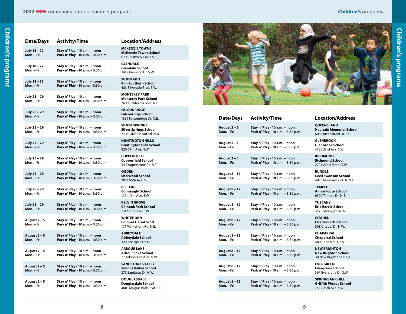**Children's programs**

| I<br>Ξ                                                                                                                |  |
|-----------------------------------------------------------------------------------------------------------------------|--|
| I                                                                                                                     |  |
| I<br>п<br>İ<br>٦                                                                                                      |  |
|                                                                                                                       |  |
| l                                                                                                                     |  |
| ĺ                                                                                                                     |  |
|                                                                                                                       |  |
|                                                                                                                       |  |
| I                                                                                                                     |  |
| ı                                                                                                                     |  |
| i<br>1                                                                                                                |  |
| ı                                                                                                                     |  |
|                                                                                                                       |  |
| г<br>I                                                                                                                |  |
|                                                                                                                       |  |
| i                                                                                                                     |  |
| <b>Service Service</b>                                                                                                |  |
|                                                                                                                       |  |
| ì                                                                                                                     |  |
| i                                                                                                                     |  |
|                                                                                                                       |  |
|                                                                                                                       |  |
| ĺ                                                                                                                     |  |
|                                                                                                                       |  |
|                                                                                                                       |  |
| <b>Contract Contract Contract Contract Contract Contract Contract Contract Contract Contract Contract Contract Co</b> |  |
|                                                                                                                       |  |
|                                                                                                                       |  |

| <b>Date/Days</b>            | <b>Activity/Time</b>                                                | <b>Location/Address</b>                                                            |
|-----------------------------|---------------------------------------------------------------------|------------------------------------------------------------------------------------|
| July 18 - 22<br>Mon. - Fri. | Stay n' Play - 10 a.m. - noon<br>Park n' Play - 10 a.m. - 3:30 p.m. | <b>MCKENZIE TOWNE</b><br><b>McKenzie Towne School</b><br>679 Prestwick Circle S.E. |
| July 18 - 22<br>Mon. - Fri. | Stay n' Play - 10 a.m. - noon<br>Park n' Play - 10 a.m. - 3:30 p.m. | <b>GLENDALE</b><br>Glendale School<br>2415 Kelwood Dr. S.W.                        |
| July 18 - 22<br>Mon. – Fri. | Stay n' Play - 10 a.m. - noon<br>Park n' Play - 10 a.m. - 3:30 p.m. | <b>SILVERADO</b><br>Ron Southern School<br>483 Silverado Blvd. S.W.                |
| July 25 - 29<br>Mon. – Fri. | Stay n' Play - 10 a.m. - noon<br>Park n' Play - 10 a.m. - 3:30 p.m. | <b>MONTEREY PARK</b><br><b>Monterey Park School</b><br>7400 California Blvd. N.E.  |
| July 25 - 29<br>Mon. - Fri. | Stay n' Play - 10 a.m. - noon<br>Park n' Play - 10 a.m. - 3:30 p.m. | <b>FALCONRIDGE</b><br><b>Falconridge School</b><br>1331 Falconridge Dr. N.E.       |
| July 25 - 29<br>Mon. – Fri. | Stay n' Play - 10 a.m. - noon<br>Park n' Play - 10 a.m. - 3:30 p.m. | <b>SILVER SPRINGS</b><br><b>Silver Springs School</b><br>7235 Silver Mead Rd. N.W. |
| July 25 - 29<br>Mon. - Fri. | Stay n' Play - 10 a.m. - noon<br>Park n' Play - 10 a.m. - 3:30 p.m. | <b>HUNTINGTON HILLS</b><br><b>Huntington Hills School</b><br>820 64th Ave. N.W.    |
| July 25 – 29<br>Mon. - Fri. | Stay n' Play - 10 a.m. - noon<br>Park n' Play - 10 a.m. - 3:30 p.m. | <b>COPPERFIELD</b><br>Copperfield School<br>54 Copperstone Rd. S.E.                |
| July 25 - 29<br>Mon. - Fri. | Stay n' Play - 10 a.m. - noon<br>Park n' Play - 10 a.m. - 3:30 p.m. | <b>OGDEN</b><br><b>Sherwood School</b><br>2011 66th Ave. S.E.                      |
| July 25 - 29<br>Mon. - Fri. | Stay n' Play - 10 a.m. - noon<br>Park n' Play - 10 a.m. - 3:30 p.m. | <b>BELTLINE</b><br><b>Connaught School</b><br>1121 12th Ave. S.W.                  |
| July 25 – 29<br>Mon. - Fri. | Stay n' Play - 10 a.m. - noon<br>Park n' Play - 10 a.m. - 3:30 p.m. | <b>KELVIN GROVE</b><br><b>Chinook Park School</b><br>1312 75th Ave. S.W.           |
| August 2 - 5<br>Mon. - Fri. | Stay n' Play - 10 a.m. - noon<br>Park n' Play - 10 a.m. - 3:30 p.m. | <b>WHITEHORN</b><br><b>Colonel J. Fred Scott</b><br>171 Whitehorn Rd. N.E.         |
| August 2 – 5<br>Mon. - Fri. | Stay n' Play - 10 a.m. - noon<br>Park n' Play - 10 a.m. - 3:30 p.m. | <b>ABBEYDALE</b><br>Abbeydale School<br>320 Abergale Dr. N.E.                      |
| August 2 – 5<br>Mon. – Fri. | Stay n' Play - 10 a.m. - noon<br>Park n' Play - 10 a.m. - 3:30 p.m. | <b>ARBOUR LAKE</b><br>Arbour Lake School<br>27 Arbour Crest Dr. N.W.               |
| August 2 – 5<br>Mon. - Fri. | Stay n' Play - 10 a.m. - noon<br>Park n' Play - 10 a.m. - 3:30 p.m. | <b>SANDSTONE VALLEY</b><br><b>Simons Valley School</b><br>375 Sandarac Dr. N.W.    |
| August 2 - 5<br>Mon. - Fri. | Stay n' Play - 10 a.m. - noon<br>Park n' Play - 10 a.m. - 3:30 p.m. | <b>DOUGLASDALE</b><br>Douglasdale School<br>400 Douglas Park Blyd, S.E             |

| <b>Location/Address</b>                                                            |
|------------------------------------------------------------------------------------|
| <b>MCKENZIE TOWNE</b><br><b>McKenzie Towne School</b><br>679 Prestwick Circle S.E. |
| <b>GLENDALE</b><br><b>Glendale School</b><br>2415 Kelwood Dr. S.W.                 |
| <b>SILVERADO</b><br><b>Ron Southern School</b><br>483 Silverado Blvd, S.W.         |
| <b>MONTEREY PARK</b><br><b>Monterey Park School</b><br>7400 California Blvd. N.E.  |
| <b>FALCONRIDGE</b><br><b>Falconridge School</b><br>1331 Falconridge Dr. N.E.       |
| <b>SILVER SPRINGS</b><br><b>Silver Springs School</b><br>7235 Silver Mead Rd. N.W. |
| <b>HUNTINGTON HILLS</b><br><b>Huntington Hills School</b><br>820 64th Ave. N.W.    |
| <b>COPPERFIELD</b><br><b>Copperfield School</b><br>54 Copperstone Rd. S.E.         |
| <b>OGDEN</b><br><b>Sherwood School</b><br>2011 66th Ave. S.E.                      |
| <b>BELTLINE</b><br><b>Connaught School</b><br>1121 12th Ave. S.W.                  |
| <b>KELVIN GROVE</b><br><b>Chinook Park School</b><br>1312 75th Ave. S.W.           |
| <b>WHITEHORN</b><br><b>Colonel J. Fred Scott</b><br>171 Whitehorn Rd. N.E.         |
| <b>ABBEYDALE</b><br>Abbeydale School<br>320 Abergale Dr. N.E.                      |
| <b>ARBOUR LAKE</b><br>Arbour Lake School<br>27 Arbour Crest Dr. N.W.               |
| <b>SANDSTONE VALLEY</b><br><b>Simons Valley School</b>                             |

**DOUGLASDALE Douglasdale School** glas Park Blvd. S.E.



| <b>Date/Days</b>                   | <b>Activity/Time</b>                                                | Location//                                                  |
|------------------------------------|---------------------------------------------------------------------|-------------------------------------------------------------|
| August 2 - 5<br>Mon. - Fri.        | Stay n' Play - 10 a.m. - noon<br>Park n' Play - 10 a.m. - 3:30 p.m. | QUEENSLAND<br><b>Haultain Mem</b><br>605 Oueenslan          |
| August 2 - 5<br>Mon. - Fri.        | Stay n' Play - 10 a.m. - noon<br>Park n' Play - 10 a.m. - 3:30 p.m. | <b>GLENBROOK</b><br><b>Glenbrook Scl</b><br>4725 33rd Ave.  |
| August 2 - 5<br>Mon. - Fri.        | Stay n' Play - 10 a.m. - noon<br>Park n' Play - 10 a.m. - 3:30 p.m. | <b>RICHMOND</b><br><b>Richmond Sch</b><br>2701 22nd Stre    |
| <b>August 8 - 12</b><br>Mon. - Fri | Stay n' Play - 10 a.m. - noon<br>Park n' Play - 10 a.m. - 3:30 p.m. | <b>RUNDLE</b><br><b>Cecil Swanson</b><br>4820 Rundlewo      |
| <b>August 8 - 12</b><br>Mon. - Fri | Stay n' Play - 10 a.m. - noon<br>Park n' Play - 10 a.m. - 3:30 p.m. | <b>TEMPLE</b><br><b>Annie Foote S</b><br>6320 Temple D      |
| August 8 - 12<br>Mon. - Fri        | Stay n' Play - 10 a.m. - noon<br>Park n' Play - 10 a.m. - 3:30 p.m. | <b>TUSCANY</b><br><b>Eric Harvie Scl</b><br>357 Tuscany Dr  |
| <b>August 8 - 12</b><br>Mon. - Fri | Stay n' Play - 10 a.m. - noon<br>Park n' Play - 10 a.m. - 3:30 p.m. | <b>CITADEL</b><br><b>Citadel Park S</b><br>808 Citadel Dr.  |
| <b>August 8 - 12</b><br>Mon. - Fri | Stay n' Play - 10 a.m. - noon<br>Park n' Play - 10 a.m. - 3:30 p.m. | <b>CHAPARRAL</b><br><b>Chaparral Sch</b><br>480 Chaparral I |
| <b>August 8 - 12</b><br>Mon. - Fri | Stay n' Play - 10 a.m. - noon<br>Park n' Play - 10 a.m. - 3:30 p.m. | <b>NEW BRIGHTO</b><br><b>New Brighton</b><br>30 New Brighto |
| August 8 - 12<br>Mon. – Fri        | Stay n' Play - 10 a.m. - noon<br>Park n' Play - 10 a.m. - 3:30 p.m. | <b>EVERGREEN</b><br><b>Evergreen Sch</b><br>367 Everstone I |
| <b>August 8 - 12</b><br>Mon. - Fri | Stay n' Play - 10 a.m. - noon<br>Park n' Play - 10 a.m. - 3:30 p.m. | <b>SPRINGBANK</b><br>Griffith Wood<br>75522112              |

## **Date/Days Activity/Time Location/Address Haultain Memorial School** d Dr. S.E.

hool:  $5.00$ 

**Richmond School** et S.W.

**Cecil Swanson School** ood Dr. N.E.

 $i$ chool or. N.E.

**Eric Harvie School** r. N.W.

**Citadel Park School** N.W.

100r Dr. S.E.

**NEW BRIGHTON School** on Dr. S.E.

hool Dr. S.W.

**SPRINGBANK HILL Is School** 7652 26th Ave. S.W.

**8 9**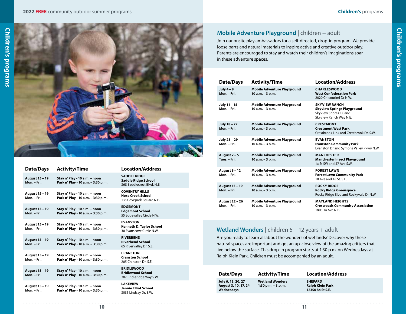**Children's programs**

**Children's programs** 



| Date/Days                            | Activity/Time                                                       |  |
|--------------------------------------|---------------------------------------------------------------------|--|
| <b>August 15 - 19</b><br>Mon. - Fri. | Stay n' Play - 10 a.m. - noon<br>Park n' Play - 10 a.m. - 3:30 p.m. |  |
| August 15 - 19<br>Mon. - Fri.        | Stay n' Play - 10 a.m. - noon<br>Park n' Play - 10 a.m. - 3:30 p.m. |  |
| August 15 - 19<br>Mon. - Fri.        | Stay n' Play - 10 a.m. - noon<br>Park n' Play - 10 a.m. - 3:30 p.m. |  |
| <b>August 15 - 19</b><br>Mon. - Fri. | Stay n' Play - 10 a.m. - noon<br>Park n' Play - 10 a.m. - 3:30 p.m. |  |
| August 15 - 19<br>Mon. - Fri.        | Stay n' Play - 10 a.m. - noon<br>Park n' Play - 10 a.m. - 3:30 p.m. |  |
| August 15 - 19<br>Mon. - Fri.        | Stay n' Play - 10 a.m. – noon<br>Park n' Play - 10 a.m. - 3:30 p.m. |  |
| August 15 - 19<br>Mon. - Fri.        | Stay n' Play - 10 a.m. – noon<br>Park n' Play - 10 a.m. - 3:30 p.m. |  |
| August 15 - 19<br>Mon. - Fri.        | Stay n' Play - 10 a.m. – noon<br>Park n' Play - 10 a.m. - 3:30 p.m. |  |

#### **Location/Address**

**SADDLE RIDGE Saddle Ridge School** 368 Saddlecrest Blvd. N.E. **COVENTRY HILLS**

**Nose Creek School** 135 Covepark Square N.E.

**EDGEMONT**

**Edgemont School** 55 Edgevalley Circle N.W.

**EVANSTON Kenneth D. Taylor School** 30 Evanscove Circle N.W.

**RIVERBEND Riverbend School** 65 Rivervalley Dr. S.E.

**CRANSTON Cranston School** 205 Cranston Dr. S.E.

**BRIDLEWOOD Bridlewood School** 207 Bridleridge Way S.W.

**LAKEVIEW Jennie Elliot School** 3031 Lindsay Dr. S.W.

#### **Mobile Adventure Playground** | children + adult

Join our onsite play ambassadors for a self-directed, drop-in program. We provide loose parts and natural materials to inspire active and creative outdoor play. Parents are encouraged to stay and watch their children's imaginations soar in these adventure spaces.

| Date/Days                            | <b>Activity/Time</b>                                     | <b>Location/Address</b>                                                                                       |
|--------------------------------------|----------------------------------------------------------|---------------------------------------------------------------------------------------------------------------|
| July $4 - 8$<br>Mon. - Fri.          | <b>Mobile Adventure Playground</b><br>$10 a.m. - 3 p.m.$ | <b>CHARLESWOOD</b><br><b>West Confederation Park</b><br>2020 Chicoutimi Dr N.W.                               |
| July 11 - 15<br>Mon. - Fri.          | <b>Mobile Adventure Playground</b><br>10 a.m. - 3 p.m.   | <b>SKYVIEW RANCH</b><br><b>Skyview Springs Playground</b><br>Skyview Shores Cr. and<br>Skyview Ranch Way N.E. |
| July 18 - 22<br>Mon. - Fri.          | <b>Mobile Adventure Playground</b><br>$10 a.m. - 3 p.m.$ | <b>CRESTMONT</b><br><b>Crestmont West Park</b><br>Crestbrook Link and Crestbrook Dr. S.W.                     |
| July 25 - 29<br>Mon. - Fri.          | <b>Mobile Adventure Playground</b><br>10 a.m. - 3 p.m.   | <b>EVANSTON</b><br><b>Evanston Community Park</b><br>Evanston Dr and Symons Valley Pkwy N.W.                  |
| August 2 - 5<br>Tues. - Fri.         | <b>Mobile Adventure Playground</b><br>$10 a.m. - 3 p.m.$ | <b>MANCHESTER</b><br><b>Manchester Insect Playground</b><br>1a St SW and 57 Ave S W.                          |
| <b>August 8 - 12</b><br>Mon. - Fri.  | <b>Mobile Adventure Playground</b><br>10 a.m. - 3 p.m.   | <b>FOREST LAWN</b><br><b>Forest Lawn Community Park</b><br>10 Ave and 43 St. S.E.                             |
| <b>August 15 - 19</b><br>Mon. - Fri. | <b>Mobile Adventure Playground</b><br>$10 a.m. - 3 p.m.$ | <b>ROCKY RIDGE</b><br><b>Rocky Ridge Greenspace</b><br>Rocky Ridge Blvd and Rockyvale Dr N.W.                 |
| August 22 - 26<br>Mon. - Fri.        | <b>Mobile Adventure Playground</b><br>10 a.m. - 3 p.m.   | <b>MAYLAND HEIGHTS</b><br><b>Crossroads Community Association</b><br>1803 14 Ave N.E.                         |

#### **Wetland Wonders** | children 5 – 12 years + adult

Are you ready to learn all about the wonders of wetlands? Discover why these natural spaces are important and get an up-close view of the amazing critters that live below the surface. This drop-in program starts at 1:30 p.m. on Wednesdays at Ralph Klein Park. Children must be accompanied by an adult.

| Date/Days                                                | <b>Activity/Time</b>                             | <b>Location/Address</b>                                |
|----------------------------------------------------------|--------------------------------------------------|--------------------------------------------------------|
| July 6, 13, 20, 27<br>August 3, 10, 17, 24<br>Wednesdays | <b>Wetland Wonders</b><br>$1:30$ p.m. $-3$ .p.m. | <b>SHEPARD</b><br>Ralph Klein Park<br>12350 84 St S.E. |
|                                                          |                                                  |                                                        |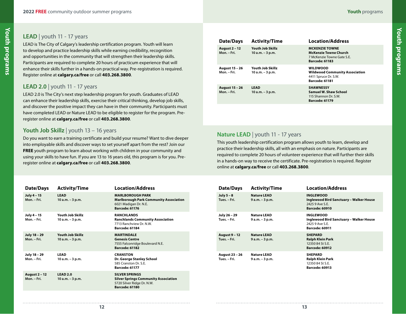#### **LEAD** | youth 11 - 17 years

LEAD is The City of Calgary's leadership certification program. Youth will learn to develop and practice leadership skills while earning credibility, recognition and opportunities in the community that will strengthen their leadership skills. Participants are required to complete 20 hours of practicum experience that will enhance their skills further in a hands-on practical way. Pre-registration is required. Register online at **calgary.ca/free** or call **403.268.3800**.

#### **LEAD 2.0** | youth 11 - 17 years

LEAD 2.0 is The City's next step leadership program for youth. Graduates of LEAD can enhance their leadership skills, exercise their critical thinking, develop job skills, and discover the positive impact they can have in their community. Participants must have completed LEAD or Nature LEAD to be eligible to register for the program. Preregister online at **calgary.ca/free** or call **403.268.3800**.

#### **Youth Job Skillz** | youth 13 – 16 years

Do you want to earn a training certificate and build your resume? Want to dive deeper into employable skills and discover ways to set yourself apart from the rest? Join our **FREE** youth program to learn about working with children in your community and using your skills to have fun. If you are 13 to 16 years old, this program is for you. Preregister online at **calgary.ca/free** or call **403.268.3800**.

| Date/Days                           | <b>Activity/Time</b>                      | <b>Location/Address</b>                                                                                                     |
|-------------------------------------|-------------------------------------------|-----------------------------------------------------------------------------------------------------------------------------|
| July 4 - 15<br>Mon. - Fri.          | <b>LEAD</b><br>$10 a.m. - 3 p.m.$         | <b>MARLBOROUGH PARK</b><br><b>Marlborough Park Community Association</b><br>6021 Madigan Dr. N.E.<br><b>Barcode: 61176</b>  |
| July 4 - 15<br>Mon. - Fri.          | Youth Job Skillz<br>10 a.m. - 3 p.m.      | <b>RANCHLANDS</b><br><b>Ranchlands Community Association</b><br>7713 Ranchview Dr. N.W.<br><b>Barcode: 61184</b>            |
| July 18 - 29<br>Mon. - Fri.         | Youth Job Skillz<br>10 a.m. - 3 p.m.      | <b>MARTINDALE</b><br><b>Genesis Centre</b><br>7555 Falconridge Boulevard N.E.<br><b>Barcode: 61182</b>                      |
| July 18 - 29<br>Mon. - Fri.         | <b>LEAD</b><br>10 a.m. - 3 p.m.           | <b>CRANSTON</b><br>Dr. George Stanley School<br>585 Cranston Dr. S.F.<br><b>Barcode: 61177</b>                              |
| <b>August 2 - 12</b><br>Mon. - Fri. | LEAD <sub>2.0</sub><br>$10 a.m. - 3 p.m.$ | <b>SILVER SPRINGS</b><br><b>Silver Springs Community Association</b><br>5720 Silver Ridge Dr. N.W.<br><b>Barcode: 61180</b> |

|  | Date/Days                            | <b>Activity/Time</b>                        | <b>Location/Address</b>                                                                                      |
|--|--------------------------------------|---------------------------------------------|--------------------------------------------------------------------------------------------------------------|
|  | <b>August 2 - 12</b><br>Mon. - Fri.  | Youth Job Skillz<br>$10 a.m. - 3 p.m.$      | <b>MCKENZIE TOWNE</b><br><b>McKenzie Towne Church</b><br>7 McKenzie Towne Gate S.E.<br><b>Barcode: 61183</b> |
|  | <b>August 15 - 26</b><br>Mon. - Fri. | <b>Youth Job Skillz</b><br>10 a.m. - 3 p.m. | <b>WILDWOOD</b><br><b>Wildwood Community Association</b><br>4411 Spruce Dr. S.W.<br>Barcode: 61181           |
|  | <b>August 15 - 26</b><br>Mon. - Fri. | <b>LEAD</b><br>$10 a.m. - 3 p.m.$           | <b>SHAWNESSY</b><br>Samuel W. Shaw School<br>115 Shannon Dr. S.W.<br><b>Barcode: 61179</b>                   |

**Youth programs**

Youth programs

#### **Nature LEAD** | youth 11 - 17 years

This youth leadership certification program allows youth to learn, develop and practice their leadership skills, all with an emphasis on nature. Participants are required to complete 20 hours of volunteer experience that will further their skills in a hands-on way to receive the certificate. Pre-registration is required. Register online at **calgary.ca/free** or call **403.268.3800**.

| Date/Days                            | <b>Activity/Time</b>                  | <b>Location/Address</b>                                                                                 |
|--------------------------------------|---------------------------------------|---------------------------------------------------------------------------------------------------------|
| July $5 - 8$<br>Tues. - Fri.         | <b>Nature LEAD</b><br>9 a.m. - 3 p.m. | <b>INGLEWOOD</b><br>Inglewood Bird Sanctuary - Walker House<br>2425 9 Ave S.E.<br><b>Barcode: 60910</b> |
| July 26 - 29<br>Tues. - Fri.         | Nature LEAD<br>9 a.m. - 3 p.m.        | <b>INGLEWOOD</b><br>Inglewood Bird Sanctuary - Walker House<br>2425 9 Ave S.E.<br><b>Barcode: 60911</b> |
| <b>August 9 - 12</b><br>Tues. - Fri. | <b>Nature LEAD</b><br>$9a.m. - 3p.m.$ | <b>SHEPARD</b><br>Ralph Klein Park<br>12350 84 St S F<br><b>Barcode: 60912</b>                          |
| August 23 - 26<br>Tues. - Fri.       | <b>Nature LEAD</b><br>$9a.m. - 3p.m.$ | <b>SHEPARD</b><br>Ralph Klein Park<br>12350 84 St S.E.<br><b>Barcode: 60913</b>                         |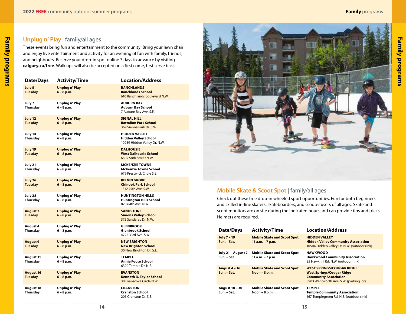#### **Unplug n' Play** | family/all ages

These events bring fun and entertainment to the community! Bring your lawn chair and enjoy live entertainment and activity for an evening of fun with family, friends, and neighbours. Reserve your drop-in spot online 7 days in advance by visiting **calgary.ca/free**. Walk ups will also be accepted on a first come, first serve basis.

| Date/Days                          | <b>Activity/Time</b>                 | <b>Location/Address</b>                                                             |
|------------------------------------|--------------------------------------|-------------------------------------------------------------------------------------|
| July 5<br><b>Tuesday</b>           | <b>Unplugn' Play</b><br>$6 - 8 p.m.$ | <b>RANCHLANDS</b><br><b>Ranchlands School</b><br>610 Ranchlands Boulevard N.W.      |
| July 7<br>Thursday                 | Unplug n' Play<br>$6 - 8 p.m.$       | <b>AUBURN BAY</b><br>Auburn Bay School<br>7 Auburn Bay Ave. S.E.                    |
| July 12<br><b>Tuesday</b>          | <b>Unplugn' Play</b><br>$6 - 8 p.m.$ | <b>SIGNAL HILL</b><br><b>Battalion Park School</b><br>369 Sienna Park Dr. S.W.      |
| July 14<br>Thursday                | Unplug n' Play<br>$6 - 8 p.m.$       | <b>HIDDEN VALLEY</b><br><b>Hidden Valley School</b><br>10959 Hidden Valley Dr. N.W. |
| July 19<br><b>Tuesday</b>          | <b>Unplugn' Play</b><br>$6 - 8 p.m.$ | <b>DALHOUSIE</b><br><b>West Dalhousie School</b><br>6502 58th Street N.W.           |
| July 21<br>Thursday                | Unplug n' Play<br>$6 - 8 p.m.$       | <b>MCKENZIE TOWNE</b><br><b>McKenzie Towne School</b><br>679 Prestwick Circle S.E.  |
| July 26<br><b>Tuesday</b>          | <b>Unplugn' Play</b><br>$6 - 8 p.m.$ | <b>KELVIN GROVE</b><br><b>Chinook Park School</b><br>1312 75th Ave. S.W.            |
| July 28<br>Thursday                | Unplug n' Play<br>6 - 8 p.m.         | <b>HUNTINGTON HILLS</b><br><b>Huntington Hills School</b><br>820 64th Ave. N.W.     |
| <b>August 2</b><br><b>Tuesday</b>  | <b>Unplugn' Play</b><br>$6 - 8 p.m.$ | <b>SANDSTONE</b><br><b>Simons Valley School</b><br>375 Sandarac Dr. N.W.            |
| August 4<br>Thursday               | Unplug n' Play<br>$6 - 8 p.m.$       | <b>GLENBROOK</b><br><b>Glenbrook School</b><br>4725 33rd Ave. S.W.                  |
| <b>August 9</b><br><b>Tuesday</b>  | <b>Unplugn' Play</b><br>$6 - 8 p.m.$ | <b>NEW BRIGHTON</b><br><b>New Brighton School</b><br>30 New Brighton Dr. S.E.       |
| <b>August 11</b><br>Thursday       | Unplug n' Play<br>$6 - 8 p.m.$       | <b>TEMPLE</b><br>Annie Foote School<br>6320 Temple Dr. N.E.                         |
| <b>August 16</b><br><b>Tuesday</b> | <b>Unplugn' Play</b><br>$6 - 8 p.m.$ | <b>EVANSTON</b><br><b>Kenneth D. Taylor School</b><br>30 Evanscove Circle N.W.      |
| August 18<br>Thursday              | Unplug n' Play<br>$6 - 8 p.m.$       | <b>CRANSTON</b><br><b>Cranston School</b><br>205 Cranston Dr. S.E.                  |



#### **Mobile Skate & Scoot Spot** | family/all ages

Check out these free drop-in wheeled sport opportunities. Fun for both beginners and skilled in-line skaters, skateboarders, and scooter users of all ages. Skate and scoot monitors are on site during the indicated hours and can provide tips and tricks. Helmets are required.

| Date/Days                            | <b>Activity/Time</b>                                     | <b>Location/Address</b>                                                                                                                        |
|--------------------------------------|----------------------------------------------------------|------------------------------------------------------------------------------------------------------------------------------------------------|
| July 7 - 19<br>Sun. - Sat.           | <b>Mobile Skate and Scoot Spot</b><br>11 $a.m. - 7 p.m.$ | <b>HIDDEN VALLEY</b><br><b>Hidden Valley Community Association</b><br>10504 Hidden Valley Dr. N.W. (outdoor rink)                              |
| July 21 - August 2<br>Sun. - Sat.    | <b>Mobile Skate and Scoot Spot</b><br>11 $a.m. - 7 p.m.$ | <b>HAWKWOOD</b><br><b>Hawkwood Community Association</b><br>85 Hawkhill Rd. N.W. (outdoor rink)                                                |
| <b>August 4 - 16</b><br>Sun. - Sat.  | <b>Mobile Skate and Scoot Spot</b><br>Noon $-8$ p.m.     | <b>WEST SPRINGS/COUGAR RIDGE</b><br><b>West Springs/Cougar Ridge</b><br><b>Community Association</b><br>8903 Wentworth Ave. S.W. (parking lot) |
| <b>August 18 - 30</b><br>Sun. - Sat. | <b>Mobile Skate and Scoot Spot</b><br>Noon $-8$ p.m.     | <b>TEMPLE</b><br><b>Temple Community Association</b><br>167 Templegreen Rd. N.E. (outdoor rink)                                                |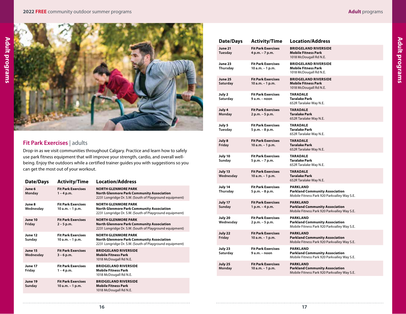**Adult programs**

**Adult programs** 



#### **Fit Park Exercises** | adults

Drop-in as we visit communities throughout Calgary. Practice and learn how to safely use park fitness equipment that will improve your strength, cardio, and overall wellbeing. Enjoy the outdoors while a certified trainer guides you with suggestions so you can get the most out of your workout.

| Date/Days            | <b>Activity/Time</b>                            | <b>Location/Address</b>                                                                                                                   |
|----------------------|-------------------------------------------------|-------------------------------------------------------------------------------------------------------------------------------------------|
| June 6<br>Monday     | <b>Fit Park Exercises</b><br>$1 - 4 p.m.$       | <b>NORTH GLENMORE PARK</b><br><b>North Glenmore Park Community Association</b><br>2231 Longridge Dr. S.W. (South of Playground equipment) |
| June 8<br>Wednesday  | <b>Fit Park Exercises</b><br>$10 a.m. - 1 p.m.$ | <b>NORTH GLENMORE PARK</b><br>North Glenmore Park Community Association<br>2231 Longridge Dr. S.W. (South of Playground equipment)        |
| June 10<br>Friday    | <b>Fit Park Exercises</b><br>$2 - 5$ p.m.       | <b>NORTH GLENMORE PARK</b><br><b>North Glenmore Park Community Association</b><br>2231 Longridge Dr. S.W. (South of Playground equipment) |
| June 12<br>Sunday    | <b>Fit Park Exercises</b><br>10 a.m. - 1 p.m.   | <b>NORTH GLENMORE PARK</b><br>North Glenmore Park Community Association<br>2231 Longridge Dr. S.W. (South of Playground equipment)        |
| June 15<br>Wednesday | <b>Fit Park Exercises</b><br>$3 - 6$ p.m.       | <b>BRIDGELAND RIVERSIDE</b><br><b>Mobile Fitness Park</b><br>1018 McDougall Rd N.E.                                                       |
| June 17<br>Friday    | <b>Fit Park Exercises</b><br>$1 - 4 p.m.$       | <b>BRIDGELAND RIVERSIDE</b><br><b>Mobile Fitness Park</b><br>1018 McDougall Rd N.E.                                                       |
| June 19<br>Sunday    | <b>Fit Park Exercises</b><br>10 a.m. - 1 p.m.   | <b>BRIDGELAND RIVERSIDE</b><br><b>Mobile Fitness Park</b><br>1018 McDougall Rd N.E.                                                       |
|                      |                                                 |                                                                                                                                           |

| <b>Date/Days</b>     | <b>Activity/Time</b>                          | <b>Location/Address</b>                                                                                 |
|----------------------|-----------------------------------------------|---------------------------------------------------------------------------------------------------------|
| June 21<br>Tuesday   | <b>Fit Park Exercises</b><br>4 p.m. - 7 p.m.  | <b>BRIDGELAND RIVERSIDE</b><br><b>Mobile Fitness Park</b><br>1018 McDougall Rd N.E.                     |
| June 23<br>Thursday  | <b>Fit Park Exercises</b><br>10 a.m. - 1 p.m. | <b>BRIDGELAND RIVERSIDE</b><br><b>Mobile Fitness Park</b><br>1018 McDougall Rd N.E.                     |
| June 25<br>Saturday  | <b>Fit Park Exercises</b><br>10 a.m. - 1 p.m. | <b>BRIDGELAND RIVERSIDE</b><br><b>Mobile Fitness Park</b><br>1018 McDougall Rd N.E.                     |
| July 2<br>Saturday   | <b>Fit Park Exercises</b><br>9 a.m. - noon    | <b>TARADALE</b><br><b>Taralake Park</b><br>652R Taralake Way N.E.                                       |
| July 4<br>Monday     | <b>Fit Park Exercises</b><br>2 p.m. - 5 p.m.  | <b>TARADALE</b><br><b>Taralake Park</b><br>652R Taralake Way N.E.                                       |
| July 5<br>Tuesday    | <b>Fit Park Exercises</b><br>5 p.m. - 8 p.m.  | <b>TARADALE</b><br><b>Taralake Park</b><br>652R Taralake Way N.E.                                       |
| July 8<br>Friday     | <b>Fit Park Exercises</b><br>10 a.m. - 1 p.m. | <b>TARADALE</b><br>Taralake Park<br>652R Taralake Way N.E.                                              |
| July 10<br>Sunday    | <b>Fit Park Exercises</b><br>5 p.m. - 7 p.m.  | <b>TARADALE</b><br><b>Taralake Park</b><br>652R Taralake Way N.E.                                       |
| July 13<br>Wednesday | <b>Fit Park Exercises</b><br>10 a.m. - 1 p.m. | <b>TARADALE</b><br><b>Taralake Park</b><br>652R Taralake Way N.E.                                       |
| July 14<br>Thursday  | <b>Fit Park Exercises</b><br>5 p.m. - 8 p.m.  | <b>PARKLAND</b><br><b>Parkland Community Association</b><br>Mobile Fitness Park 920 Parkvalley Way S.E. |
| July 17<br>Sunday    | <b>Fit Park Exercises</b><br>1 p.m. - 4 p.m.  | <b>PARKLAND</b><br><b>Parkland Community Association</b><br>Mobile Fitness Park 920 Parkvalley Way S.E. |
| July 20<br>Wednesday | <b>Fit Park Exercises</b><br>2 p.m. - 5 p.m.  | <b>PARKLAND</b><br><b>Parkland Community Association</b><br>Mobile Fitness Park 920 Parkvalley Way S.E. |
| July 22<br>Friday    | <b>Fit Park Exercises</b><br>10 a.m. - 1 p.m. | <b>PARKLAND</b><br><b>Parkland Community Association</b><br>Mobile Fitness Park 920 Parkvalley Way S.E. |
| July 23<br>Saturday  | <b>Fit Park Exercises</b><br>9 a.m. - noon    | <b>PARKLAND</b><br><b>Parkland Community Association</b><br>Mobile Fitness Park 920 Parkvalley Way S.E. |
| July 25<br>Monday    | <b>Fit Park Exercises</b><br>10 a.m. - 1 p.m. | <b>PARKLAND</b><br><b>Parkland Community Association</b><br>Mobile Fitness Park 920 Parkvalley Way S.E. |
|                      |                                               |                                                                                                         |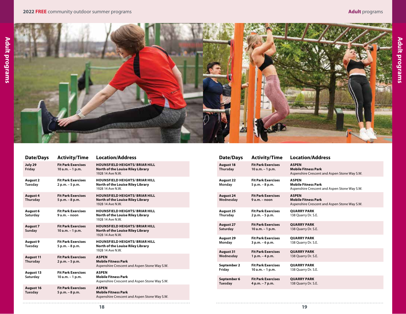**Adult programs**

**Adult programs** 



| Date/Days                    | <b>Activity/Time</b>                            | <b>Location/Address</b>                                                                        |
|------------------------------|-------------------------------------------------|------------------------------------------------------------------------------------------------|
| July 29<br>Friday            | <b>Fit Park Exercises</b><br>$10 a.m. - 1 p.m.$ | <b>HOUNSFIELD HEIGHTS/ BRIAR HILL</b><br>North of the Louise Riley Library<br>1928 14 Ave N.W. |
| August 2<br>Tuesday          | <b>Fit Park Exercises</b><br>2 p.m. - 5 p.m.    | <b>HOUNSFIELD HEIGHTS/ BRIAR HILL</b><br>North of the Louise Riley Library<br>1928 14 Ave N.W. |
| August 4<br>Thursday         | <b>Fit Park Exercises</b><br>$5 p.m. - 8 p.m.$  | <b>HOUNSFIELD HEIGHTS/ BRIAR HILL</b><br>North of the Louise Riley Library<br>1928 14 Ave N.W. |
| August 6<br>Saturday         | <b>Fit Park Exercises</b><br>$9a.m. - noon$     | <b>HOUNSFIELD HEIGHTS/ BRIAR HILL</b><br>North of the Louise Riley Library<br>1928 14 Ave N.W. |
| <b>August 7</b><br>Sunday    | <b>Fit Park Exercises</b><br>$10 a.m. - 1 p.m.$ | <b>HOUNSFIELD HEIGHTS/ BRIAR HILL</b><br>North of the Louise Riley Library<br>1928 14 Ave N.W. |
| August 9<br>Tuesday          | <b>Fit Park Exercises</b><br>$5 p.m. - 8 p.m.$  | <b>HOUNSFIELD HEIGHTS/ BRIAR HILL</b><br>North of the Louise Riley Library<br>1928 14 Ave N W  |
| <b>August 11</b><br>Thursday | <b>Fit Park Exercises</b><br>2 p.m. - 5 p.m.    | <b>ASPEN</b><br><b>Mobile Fitness Park</b><br>Aspenshire Crescent and Aspen Stone Way S.W.     |
| <b>August 13</b><br>Saturday | <b>Fit Park Exercises</b><br>10 a.m. - 1 p.m.   | <b>ASPEN</b><br><b>Mobile Fitness Park</b><br>Aspenshire Crescent and Aspen Stone Way S.W.     |
| <b>August 16</b><br>Tuesday  | <b>Fit Park Exercises</b><br>$5 p.m. - 8 p.m.$  | <b>ASPEN</b><br><b>Mobile Fitness Park</b><br>Aspenshire Crescent and Aspen Stone Way S.W.     |

| Date/Days                     | <b>Activity/Time</b>                            | <b>Location/Address</b>                                                                    |
|-------------------------------|-------------------------------------------------|--------------------------------------------------------------------------------------------|
| <b>August 18</b><br>Thursday  | <b>Fit Park Exercises</b><br>$10 a.m. - 1 p.m.$ | <b>ASPEN</b><br><b>Mobile Fitness Park</b><br>Aspenshire Crescent and Aspen Stone Way S.W. |
| <b>August 22</b><br>Monday    | <b>Fit Park Exercises</b><br>5 p.m. - 8 p.m.    | <b>ASPEN</b><br><b>Mobile Fitness Park</b><br>Aspenshire Crescent and Aspen Stone Way S.W. |
| <b>August 24</b><br>Wednesday | <b>Fit Park Exercises</b><br>$9a.m. - noon$     | <b>ASPEN</b><br><b>Mobile Fitness Park</b><br>Aspenshire Crescent and Aspen Stone Way S.W. |
| <b>August 25</b>              | <b>Fit Park Exercises</b>                       | <b>QUARRY PARK</b>                                                                         |
| Thursday                      | 2 p.m. - 5 p.m.                                 | 138 Quarry Dr. S.E.                                                                        |
| <b>August 27</b>              | <b>Fit Park Exercises</b>                       | <b>OUARRY PARK</b>                                                                         |
| Saturday                      | $10 a.m. - 1 p.m.$                              | 138 Quarry Dr. S.E.                                                                        |
| <b>August 29</b>              | <b>Fit Park Exercises</b>                       | <b>QUARRY PARK</b>                                                                         |
| Monday                        | 3 p.m. – 6 p.m.                                 | 138 Quarry Dr. S.E.                                                                        |
| <b>August 31</b>              | <b>Fit Park Exercises</b>                       | <b>QUARRY PARK</b>                                                                         |
| Wednesday                     | $1 p.m. - 4 p.m.$                               | 138 Quarry Dr. S.E.                                                                        |
| September 2                   | <b>Fit Park Exercises</b>                       | <b>QUARRY PARK</b>                                                                         |
| Friday                        | 10 a.m. - 1 p.m.                                | 138 Quarry Dr. S.E.                                                                        |
| September 6                   | <b>Fit Park Exercises</b>                       | <b>QUARRY PARK</b>                                                                         |
| Tuesday                       | 4 p.m. - 7 p.m.                                 | 138 Quarry Dr. S.E.                                                                        |